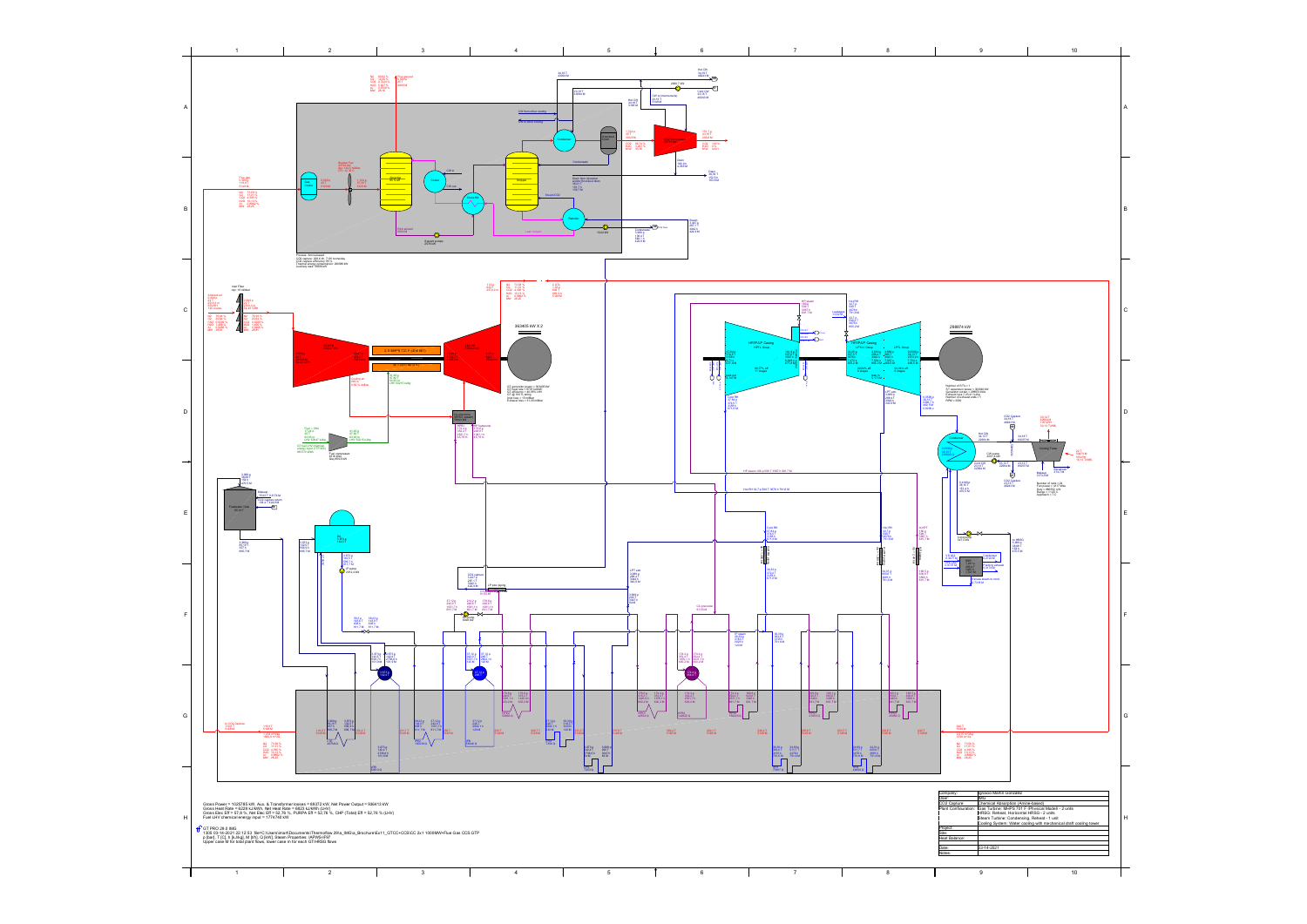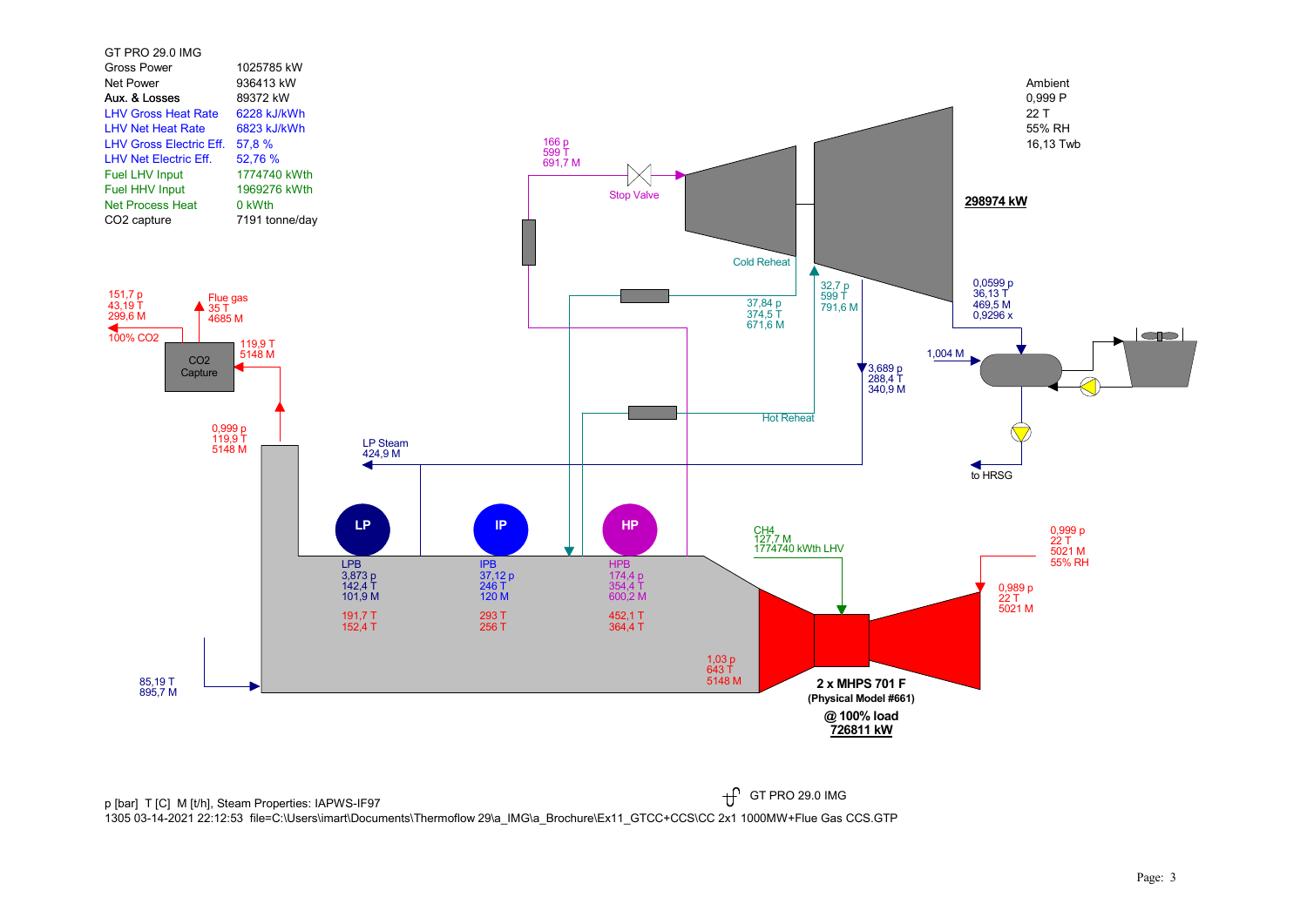

p [bar] T [C] M [t/h], Steam Properties: IAPWS-IF97  $\mathfrak{f}$ 1305 03-14-2021 22:12:53 file=C:\Users\imart\Documents\Thermoflow 29\a\_IMG\a\_Brochure\Ex11\_GTCC+CCS\CC 2x1 1000MW+Flue Gas CCS.GTP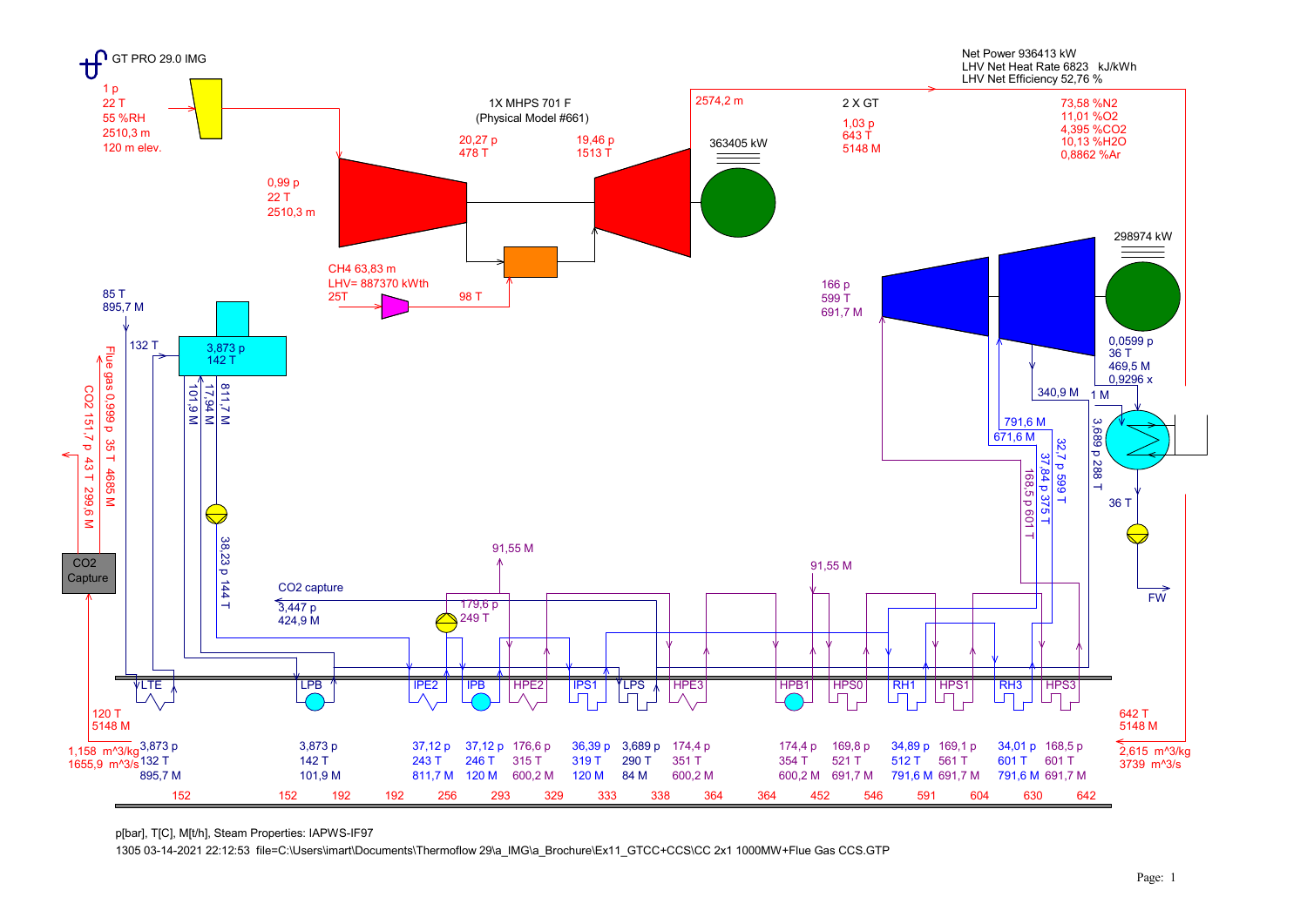

p[bar], T[C], M[t/h], Steam Properties: IAPWS-IF97

1305 03-14-2021 22:12:53 file=C:\Users\imart\Documents\Thermoflow 29\a\_IMG\a\_Brochure\Ex11\_GTCC+CCS\CC 2x1 1000MW+Flue Gas CCS.GTP